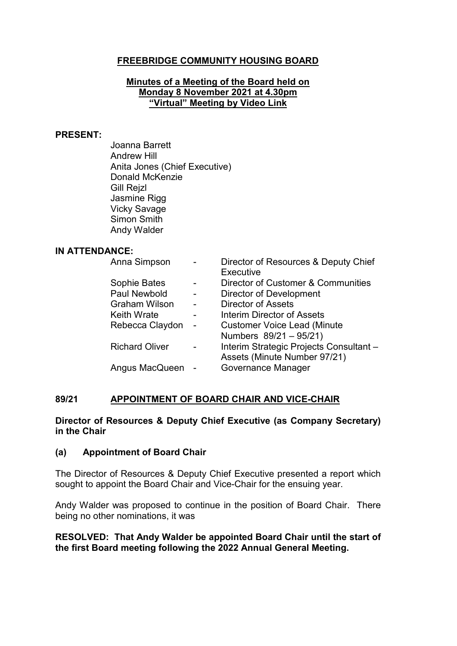# **FREEBRIDGE COMMUNITY HOUSING BOARD**

#### **Minutes of a Meeting of the Board held on Monday 8 November 2021 at 4.30pm "Virtual" Meeting by Video Link**

#### **PRESENT:**

Joanna Barrett Andrew Hill Anita Jones (Chief Executive) Donald McKenzie Gill Rejzl Jasmine Rigg Vicky Savage Simon Smith Andy Walder

#### **IN ATTENDANCE:**

| Anna Simpson          |   | Director of Resources & Deputy Chief    |
|-----------------------|---|-----------------------------------------|
|                       |   | Executive                               |
| Sophie Bates          |   | Director of Customer & Communities      |
| Paul Newbold          |   | <b>Director of Development</b>          |
| <b>Graham Wilson</b>  |   | <b>Director of Assets</b>               |
| <b>Keith Wrate</b>    |   | Interim Director of Assets              |
| Rebecca Claydon       | - | <b>Customer Voice Lead (Minute</b>      |
|                       |   | Numbers 89/21 - 95/21)                  |
| <b>Richard Oliver</b> |   | Interim Strategic Projects Consultant - |
|                       |   | Assets (Minute Number 97/21)            |
| Angus MacQueen        |   | Governance Manager                      |
|                       |   |                                         |

## **89/21 APPOINTMENT OF BOARD CHAIR AND VICE-CHAIR**

#### **Director of Resources & Deputy Chief Executive (as Company Secretary) in the Chair**

## **(a) Appointment of Board Chair**

The Director of Resources & Deputy Chief Executive presented a report which sought to appoint the Board Chair and Vice-Chair for the ensuing year.

Andy Walder was proposed to continue in the position of Board Chair. There being no other nominations, it was

## **RESOLVED: That Andy Walder be appointed Board Chair until the start of the first Board meeting following the 2022 Annual General Meeting.**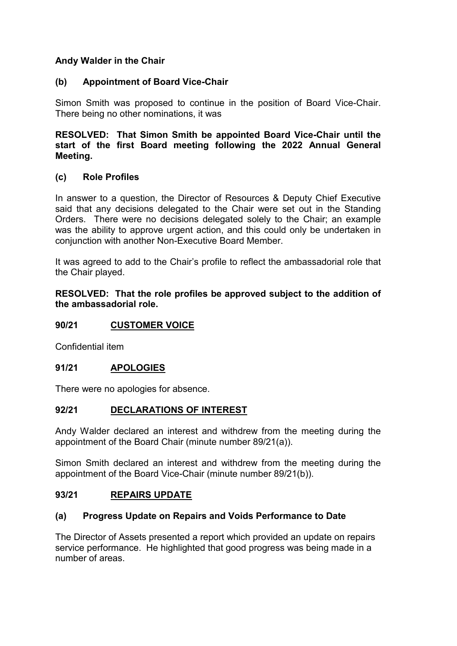## **Andy Walder in the Chair**

## **(b) Appointment of Board Vice-Chair**

Simon Smith was proposed to continue in the position of Board Vice-Chair. There being no other nominations, it was

## **RESOLVED: That Simon Smith be appointed Board Vice-Chair until the start of the first Board meeting following the 2022 Annual General Meeting.**

## **(c) Role Profiles**

In answer to a question, the Director of Resources & Deputy Chief Executive said that any decisions delegated to the Chair were set out in the Standing Orders. There were no decisions delegated solely to the Chair; an example was the ability to approve urgent action, and this could only be undertaken in conjunction with another Non-Executive Board Member.

It was agreed to add to the Chair's profile to reflect the ambassadorial role that the Chair played.

**RESOLVED: That the role profiles be approved subject to the addition of the ambassadorial role.** 

## **90/21 CUSTOMER VOICE**

Confidential item

## **91/21 APOLOGIES**

There were no apologies for absence.

## **92/21 DECLARATIONS OF INTEREST**

Andy Walder declared an interest and withdrew from the meeting during the appointment of the Board Chair (minute number 89/21(a)).

Simon Smith declared an interest and withdrew from the meeting during the appointment of the Board Vice-Chair (minute number 89/21(b)).

## **93/21 REPAIRS UPDATE**

## **(a) Progress Update on Repairs and Voids Performance to Date**

The Director of Assets presented a report which provided an update on repairs service performance. He highlighted that good progress was being made in a number of areas.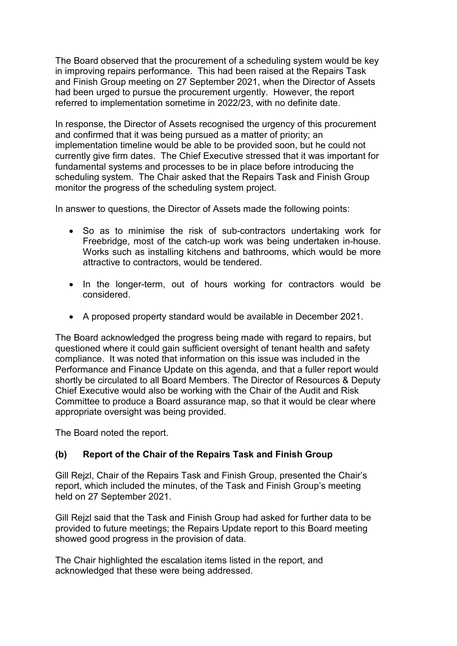The Board observed that the procurement of a scheduling system would be key in improving repairs performance. This had been raised at the Repairs Task and Finish Group meeting on 27 September 2021, when the Director of Assets had been urged to pursue the procurement urgently. However, the report referred to implementation sometime in 2022/23, with no definite date.

In response, the Director of Assets recognised the urgency of this procurement and confirmed that it was being pursued as a matter of priority; an implementation timeline would be able to be provided soon, but he could not currently give firm dates. The Chief Executive stressed that it was important for fundamental systems and processes to be in place before introducing the scheduling system. The Chair asked that the Repairs Task and Finish Group monitor the progress of the scheduling system project.

In answer to questions, the Director of Assets made the following points:

- So as to minimise the risk of sub-contractors undertaking work for Freebridge, most of the catch-up work was being undertaken in-house. Works such as installing kitchens and bathrooms, which would be more attractive to contractors, would be tendered.
- In the longer-term, out of hours working for contractors would be considered.
- A proposed property standard would be available in December 2021.

The Board acknowledged the progress being made with regard to repairs, but questioned where it could gain sufficient oversight of tenant health and safety compliance. It was noted that information on this issue was included in the Performance and Finance Update on this agenda, and that a fuller report would shortly be circulated to all Board Members. The Director of Resources & Deputy Chief Executive would also be working with the Chair of the Audit and Risk Committee to produce a Board assurance map, so that it would be clear where appropriate oversight was being provided.

The Board noted the report.

# **(b) Report of the Chair of the Repairs Task and Finish Group**

Gill Rejzl, Chair of the Repairs Task and Finish Group, presented the Chair's report, which included the minutes, of the Task and Finish Group's meeting held on 27 September 2021.

Gill Rejzl said that the Task and Finish Group had asked for further data to be provided to future meetings; the Repairs Update report to this Board meeting showed good progress in the provision of data.

The Chair highlighted the escalation items listed in the report, and acknowledged that these were being addressed.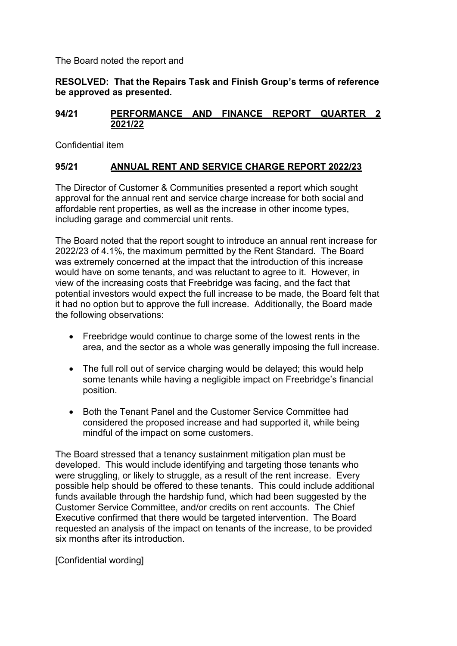The Board noted the report and

**RESOLVED: That the Repairs Task and Finish Group's terms of reference be approved as presented.** 

## **94/21 PERFORMANCE AND FINANCE REPORT QUARTER 2 2021/22**

Confidential item

## **95/21 ANNUAL RENT AND SERVICE CHARGE REPORT 2022/23**

The Director of Customer & Communities presented a report which sought approval for the annual rent and service charge increase for both social and affordable rent properties, as well as the increase in other income types, including garage and commercial unit rents.

The Board noted that the report sought to introduce an annual rent increase for 2022/23 of 4.1%, the maximum permitted by the Rent Standard. The Board was extremely concerned at the impact that the introduction of this increase would have on some tenants, and was reluctant to agree to it. However, in view of the increasing costs that Freebridge was facing, and the fact that potential investors would expect the full increase to be made, the Board felt that it had no option but to approve the full increase. Additionally, the Board made the following observations:

- Freebridge would continue to charge some of the lowest rents in the area, and the sector as a whole was generally imposing the full increase.
- The full roll out of service charging would be delayed; this would help some tenants while having a negligible impact on Freebridge's financial position.
- Both the Tenant Panel and the Customer Service Committee had considered the proposed increase and had supported it, while being mindful of the impact on some customers.

The Board stressed that a tenancy sustainment mitigation plan must be developed. This would include identifying and targeting those tenants who were struggling, or likely to struggle, as a result of the rent increase. Every possible help should be offered to these tenants. This could include additional funds available through the hardship fund, which had been suggested by the Customer Service Committee, and/or credits on rent accounts. The Chief Executive confirmed that there would be targeted intervention. The Board requested an analysis of the impact on tenants of the increase, to be provided six months after its introduction.

[Confidential wording]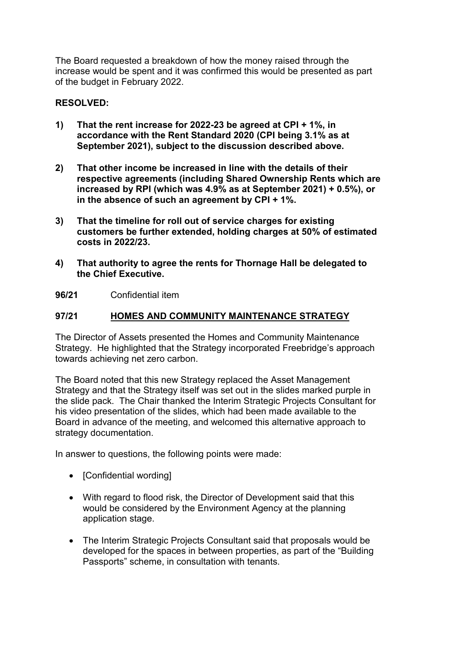The Board requested a breakdown of how the money raised through the increase would be spent and it was confirmed this would be presented as part of the budget in February 2022.

## **RESOLVED:**

- **1) That the rent increase for 2022-23 be agreed at CPI + 1%, in accordance with the Rent Standard 2020 (CPI being 3.1% as at September 2021), subject to the discussion described above.**
- **2) That other income be increased in line with the details of their respective agreements (including Shared Ownership Rents which are increased by RPI (which was 4.9% as at September 2021) + 0.5%), or in the absence of such an agreement by CPI + 1%.**
- **3) That the timeline for roll out of service charges for existing customers be further extended, holding charges at 50% of estimated costs in 2022/23.**
- **4) That authority to agree the rents for Thornage Hall be delegated to the Chief Executive.**
- **96/21** Confidential item

## **97/21 HOMES AND COMMUNITY MAINTENANCE STRATEGY**

The Director of Assets presented the Homes and Community Maintenance Strategy. He highlighted that the Strategy incorporated Freebridge's approach towards achieving net zero carbon.

The Board noted that this new Strategy replaced the Asset Management Strategy and that the Strategy itself was set out in the slides marked purple in the slide pack. The Chair thanked the Interim Strategic Projects Consultant for his video presentation of the slides, which had been made available to the Board in advance of the meeting, and welcomed this alternative approach to strategy documentation.

In answer to questions, the following points were made:

- [Confidential wording]
- With regard to flood risk, the Director of Development said that this would be considered by the Environment Agency at the planning application stage.
- The Interim Strategic Projects Consultant said that proposals would be developed for the spaces in between properties, as part of the "Building Passports" scheme, in consultation with tenants.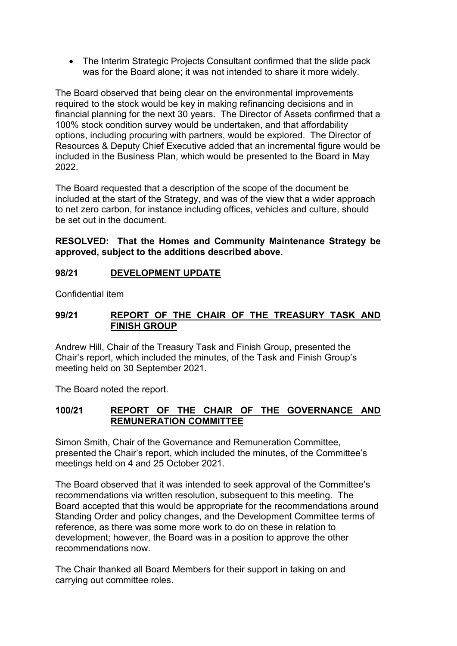• The Interim Strategic Projects Consultant confirmed that the slide pack was for the Board alone; it was not intended to share it more widely.

The Board observed that being clear on the environmental improvements required to the stock would be key in making refinancing decisions and in financial planning for the next 30 years. The Director of Assets confirmed that a 100% stock condition survey would be undertaken, and that affordability options, including procuring with partners, would be explored. The Director of Resources & Deputy Chief Executive added that an incremental figure would be included in the Business Plan, which would be presented to the Board in May 2022.

The Board requested that a description of the scope of the document be included at the start of the Strategy, and was of the view that a wider approach to net zero carbon, for instance including offices, vehicles and culture, should be set out in the document.

## **RESOLVED: That the Homes and Community Maintenance Strategy be approved, subject to the additions described above.**

## **98/21 DEVELOPMENT UPDATE**

Confidential item

## **99/21 REPORT OF THE CHAIR OF THE TREASURY TASK AND FINISH GROUP**

Andrew Hill, Chair of the Treasury Task and Finish Group, presented the Chair's report, which included the minutes, of the Task and Finish Group's meeting held on 30 September 2021.

The Board noted the report.

## **100/21 REPORT OF THE CHAIR OF THE GOVERNANCE AND REMUNERATION COMMITTEE**

Simon Smith, Chair of the Governance and Remuneration Committee, presented the Chair's report, which included the minutes, of the Committee's meetings held on 4 and 25 October 2021.

The Board observed that it was intended to seek approval of the Committee's recommendations via written resolution, subsequent to this meeting. The Board accepted that this would be appropriate for the recommendations around Standing Order and policy changes, and the Development Committee terms of reference, as there was some more work to do on these in relation to development; however, the Board was in a position to approve the other recommendations now.

The Chair thanked all Board Members for their support in taking on and carrying out committee roles.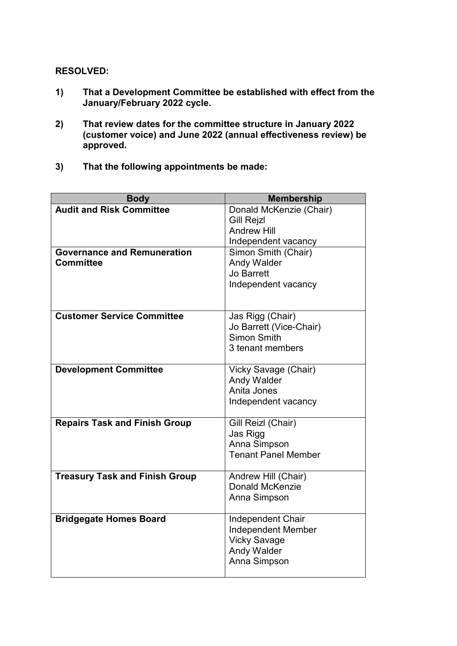**RESOLVED:**

- **1) That a Development Committee be established with effect from the January/February 2022 cycle.**
- **2) That review dates for the committee structure in January 2022 (customer voice) and June 2022 (annual effectiveness review) be approved.**
- **3) That the following appointments be made:**

| <b>Body</b>                           | <b>Membership</b>                              |
|---------------------------------------|------------------------------------------------|
| <b>Audit and Risk Committee</b>       | Donald McKenzie (Chair)<br><b>Gill Rejzl</b>   |
|                                       | <b>Andrew Hill</b><br>Independent vacancy      |
| <b>Governance and Remuneration</b>    | Simon Smith (Chair)                            |
| <b>Committee</b>                      | <b>Andy Walder</b>                             |
|                                       | <b>Jo Barrett</b>                              |
|                                       | Independent vacancy                            |
|                                       |                                                |
| <b>Customer Service Committee</b>     | Jas Rigg (Chair)<br>Jo Barrett (Vice-Chair)    |
|                                       | Simon Smith                                    |
|                                       | 3 tenant members                               |
| <b>Development Committee</b>          | Vicky Savage (Chair)                           |
|                                       | <b>Andy Walder</b>                             |
|                                       | Anita Jones                                    |
|                                       | Independent vacancy                            |
| <b>Repairs Task and Finish Group</b>  | Gill Reizl (Chair)                             |
|                                       | Jas Rigg<br>Anna Simpson                       |
|                                       | <b>Tenant Panel Member</b>                     |
|                                       |                                                |
| <b>Treasury Task and Finish Group</b> | Andrew Hill (Chair)<br>Donald McKenzie         |
|                                       | Anna Simpson                                   |
|                                       |                                                |
| <b>Bridgegate Homes Board</b>         | <b>Independent Chair</b><br>Independent Member |
|                                       | <b>Vicky Savage</b>                            |
|                                       | Andy Walder                                    |
|                                       | Anna Simpson                                   |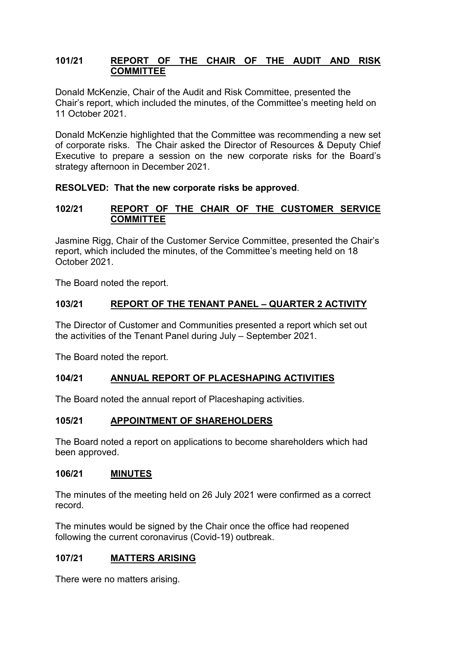## **101/21 REPORT OF THE CHAIR OF THE AUDIT AND RISK COMMITTEE**

Donald McKenzie, Chair of the Audit and Risk Committee, presented the Chair's report, which included the minutes, of the Committee's meeting held on 11 October 2021.

Donald McKenzie highlighted that the Committee was recommending a new set of corporate risks. The Chair asked the Director of Resources & Deputy Chief Executive to prepare a session on the new corporate risks for the Board's strategy afternoon in December 2021.

## **RESOLVED: That the new corporate risks be approved**.

## **102/21 REPORT OF THE CHAIR OF THE CUSTOMER SERVICE COMMITTEE**

Jasmine Rigg, Chair of the Customer Service Committee, presented the Chair's report, which included the minutes, of the Committee's meeting held on 18 October 2021.

The Board noted the report.

## **103/21 REPORT OF THE TENANT PANEL – QUARTER 2 ACTIVITY**

The Director of Customer and Communities presented a report which set out the activities of the Tenant Panel during July – September 2021.

The Board noted the report.

## **104/21 ANNUAL REPORT OF PLACESHAPING ACTIVITIES**

The Board noted the annual report of Placeshaping activities.

## **105/21 APPOINTMENT OF SHAREHOLDERS**

The Board noted a report on applications to become shareholders which had been approved.

## **106/21 MINUTES**

The minutes of the meeting held on 26 July 2021 were confirmed as a correct record.

The minutes would be signed by the Chair once the office had reopened following the current coronavirus (Covid-19) outbreak.

## **107/21 MATTERS ARISING**

There were no matters arising.